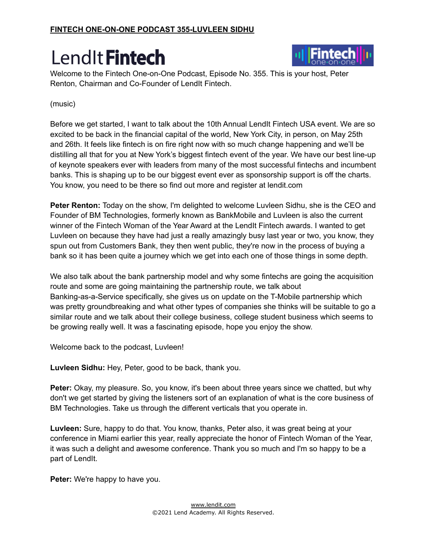

Welcome to the Fintech One-on-One Podcast, Episode No. 355. This is your host, Peter Renton, Chairman and Co-Founder of LendIt Fintech.

#### (music)

Before we get started, I want to talk about the 10th Annual LendIt Fintech USA event. We are so excited to be back in the financial capital of the world, New York City, in person, on May 25th and 26th. It feels like fintech is on fire right now with so much change happening and we'll be distilling all that for you at New York's biggest fintech event of the year. We have our best line-up of keynote speakers ever with leaders from many of the most successful fintechs and incumbent banks. This is shaping up to be our biggest event ever as sponsorship support is off the charts. You know, you need to be there so find out more and register at lendit.com

**Peter Renton:** Today on the show, I'm delighted to welcome Luvleen Sidhu, she is the CEO and Founder of BM Technologies, formerly known as BankMobile and Luvleen is also the current winner of the Fintech Woman of the Year Award at the LendIt Fintech awards. I wanted to get Luvleen on because they have had just a really amazingly busy last year or two, you know, they spun out from Customers Bank, they then went public, they're now in the process of buying a bank so it has been quite a journey which we get into each one of those things in some depth.

We also talk about the bank partnership model and why some fintechs are going the acquisition route and some are going maintaining the partnership route, we talk about Banking-as-a-Service specifically, she gives us on update on the T-Mobile partnership which was pretty groundbreaking and what other types of companies she thinks will be suitable to go a similar route and we talk about their college business, college student business which seems to be growing really well. It was a fascinating episode, hope you enjoy the show.

Welcome back to the podcast, Luvleen!

**Luvleen Sidhu:** Hey, Peter, good to be back, thank you.

**Peter:** Okay, my pleasure. So, you know, it's been about three years since we chatted, but why don't we get started by giving the listeners sort of an explanation of what is the core business of BM Technologies. Take us through the different verticals that you operate in.

**Luvleen:** Sure, happy to do that. You know, thanks, Peter also, it was great being at your conference in Miami earlier this year, really appreciate the honor of Fintech Woman of the Year, it was such a delight and awesome conference. Thank you so much and I'm so happy to be a part of LendIt.

**Peter:** We're happy to have you.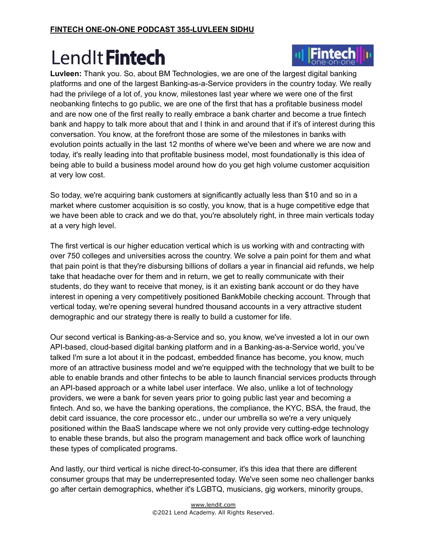

**Luvleen:** Thank you. So, about BM Technologies, we are one of the largest digital banking platforms and one of the largest Banking-as-a-Service providers in the country today. We really had the privilege of a lot of, you know, milestones last year where we were one of the first neobanking fintechs to go public, we are one of the first that has a profitable business model and are now one of the first really to really embrace a bank charter and become a true fintech bank and happy to talk more about that and I think in and around that if it's of interest during this conversation. You know, at the forefront those are some of the milestones in banks with evolution points actually in the last 12 months of where we've been and where we are now and today, it's really leading into that profitable business model, most foundationally is this idea of being able to build a business model around how do you get high volume customer acquisition at very low cost.

So today, we're acquiring bank customers at significantly actually less than \$10 and so in a market where customer acquisition is so costly, you know, that is a huge competitive edge that we have been able to crack and we do that, you're absolutely right, in three main verticals today at a very high level.

The first vertical is our higher education vertical which is us working with and contracting with over 750 colleges and universities across the country. We solve a pain point for them and what that pain point is that they're disbursing billions of dollars a year in financial aid refunds, we help take that headache over for them and in return, we get to really communicate with their students, do they want to receive that money, is it an existing bank account or do they have interest in opening a very competitively positioned BankMobile checking account. Through that vertical today, we're opening several hundred thousand accounts in a very attractive student demographic and our strategy there is really to build a customer for life.

Our second vertical is Banking-as-a-Service and so, you know, we've invested a lot in our own API-based, cloud-based digital banking platform and in a Banking-as-a-Service world, you've talked I'm sure a lot about it in the podcast, embedded finance has become, you know, much more of an attractive business model and we're equipped with the technology that we built to be able to enable brands and other fintechs to be able to launch financial services products through an API-based approach or a white label user interface. We also, unlike a lot of technology providers, we were a bank for seven years prior to going public last year and becoming a fintech. And so, we have the banking operations, the compliance, the KYC, BSA, the fraud, the debit card issuance, the core processor etc., under our umbrella so we're a very uniquely positioned within the BaaS landscape where we not only provide very cutting-edge technology to enable these brands, but also the program management and back office work of launching these types of complicated programs.

And lastly, our third vertical is niche direct-to-consumer, it's this idea that there are different consumer groups that may be underrepresented today. We've seen some neo challenger banks go after certain demographics, whether it's LGBTQ, musicians, gig workers, minority groups,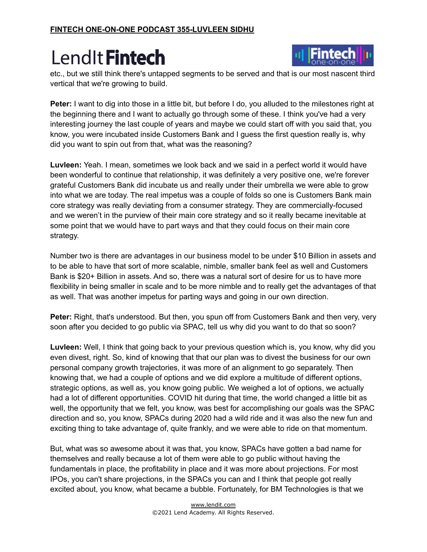

etc., but we still think there's untapped segments to be served and that is our most nascent third vertical that we're growing to build.

**Peter:** I want to dig into those in a little bit, but before I do, you alluded to the milestones right at the beginning there and I want to actually go through some of these. I think you've had a very interesting journey the last couple of years and maybe we could start off with you said that, you know, you were incubated inside Customers Bank and I guess the first question really is, why did you want to spin out from that, what was the reasoning?

**Luvleen:** Yeah. I mean, sometimes we look back and we said in a perfect world it would have been wonderful to continue that relationship, it was definitely a very positive one, we're forever grateful Customers Bank did incubate us and really under their umbrella we were able to grow into what we are today. The real impetus was a couple of folds so one is Customers Bank main core strategy was really deviating from a consumer strategy. They are commercially-focused and we weren't in the purview of their main core strategy and so it really became inevitable at some point that we would have to part ways and that they could focus on their main core strategy.

Number two is there are advantages in our business model to be under \$10 Billion in assets and to be able to have that sort of more scalable, nimble, smaller bank feel as well and Customers Bank is \$20+ Billion in assets. And so, there was a natural sort of desire for us to have more flexibility in being smaller in scale and to be more nimble and to really get the advantages of that as well. That was another impetus for parting ways and going in our own direction.

**Peter:** Right, that's understood. But then, you spun off from Customers Bank and then very, very soon after you decided to go public via SPAC, tell us why did you want to do that so soon?

**Luvleen:** Well, I think that going back to your previous question which is, you know, why did you even divest, right. So, kind of knowing that that our plan was to divest the business for our own personal company growth trajectories, it was more of an alignment to go separately. Then knowing that, we had a couple of options and we did explore a multitude of different options, strategic options, as well as, you know going public. We weighed a lot of options, we actually had a lot of different opportunities. COVID hit during that time, the world changed a little bit as well, the opportunity that we felt, you know, was best for accomplishing our goals was the SPAC direction and so, you know, SPACs during 2020 had a wild ride and it was also the new fun and exciting thing to take advantage of, quite frankly, and we were able to ride on that momentum.

But, what was so awesome about it was that, you know, SPACs have gotten a bad name for themselves and really because a lot of them were able to go public without having the fundamentals in place, the profitability in place and it was more about projections. For most IPOs, you can't share projections, in the SPACs you can and I think that people got really excited about, you know, what became a bubble. Fortunately, for BM Technologies is that we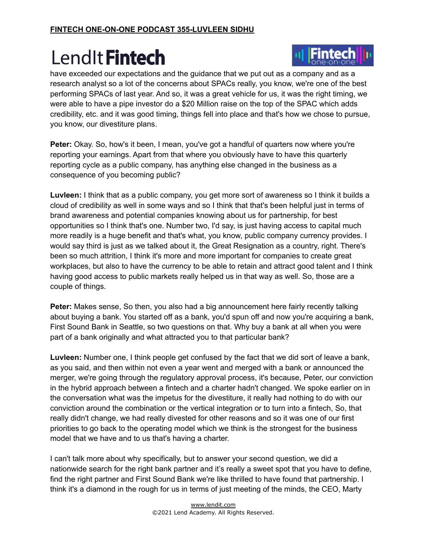

have exceeded our expectations and the guidance that we put out as a company and as a research analyst so a lot of the concerns about SPACs really, you know, we're one of the best performing SPACs of last year. And so, it was a great vehicle for us, it was the right timing, we were able to have a pipe investor do a \$20 Million raise on the top of the SPAC which adds credibility, etc. and it was good timing, things fell into place and that's how we chose to pursue, you know, our divestiture plans.

**Peter:** Okay. So, how's it been, I mean, you've got a handful of quarters now where you're reporting your earnings. Apart from that where you obviously have to have this quarterly reporting cycle as a public company, has anything else changed in the business as a consequence of you becoming public?

**Luvleen:** I think that as a public company, you get more sort of awareness so I think it builds a cloud of credibility as well in some ways and so I think that that's been helpful just in terms of brand awareness and potential companies knowing about us for partnership, for best opportunities so I think that's one. Number two, I'd say, is just having access to capital much more readily is a huge benefit and that's what, you know, public company currency provides. I would say third is just as we talked about it, the Great Resignation as a country, right. There's been so much attrition, I think it's more and more important for companies to create great workplaces, but also to have the currency to be able to retain and attract good talent and I think having good access to public markets really helped us in that way as well. So, those are a couple of things.

**Peter:** Makes sense, So then, you also had a big announcement here fairly recently talking about buying a bank. You started off as a bank, you'd spun off and now you're acquiring a bank, First Sound Bank in Seattle, so two questions on that. Why buy a bank at all when you were part of a bank originally and what attracted you to that particular bank?

**Luvleen:** Number one, I think people get confused by the fact that we did sort of leave a bank, as you said, and then within not even a year went and merged with a bank or announced the merger, we're going through the regulatory approval process, it's because, Peter, our conviction in the hybrid approach between a fintech and a charter hadn't changed. We spoke earlier on in the conversation what was the impetus for the divestiture, it really had nothing to do with our conviction around the combination or the vertical integration or to turn into a fintech, So, that really didn't change, we had really divested for other reasons and so it was one of our first priorities to go back to the operating model which we think is the strongest for the business model that we have and to us that's having a charter.

I can't talk more about why specifically, but to answer your second question, we did a nationwide search for the right bank partner and it's really a sweet spot that you have to define, find the right partner and First Sound Bank we're like thrilled to have found that partnership. I think it's a diamond in the rough for us in terms of just meeting of the minds, the CEO, Marty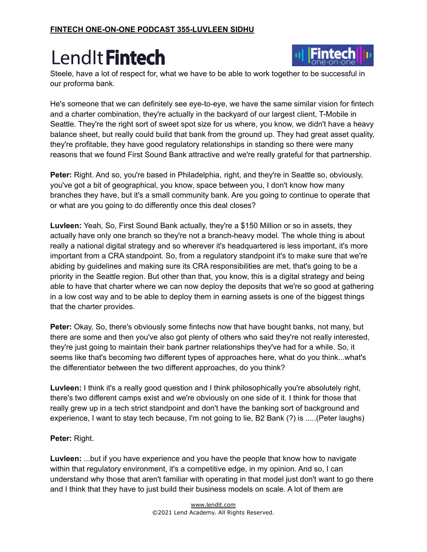

Steele, have a lot of respect for, what we have to be able to work together to be successful in our proforma bank.

He's someone that we can definitely see eye-to-eye, we have the same similar vision for fintech and a charter combination, they're actually in the backyard of our largest client, T-Mobile in Seattle. They're the right sort of sweet spot size for us where, you know, we didn't have a heavy balance sheet, but really could build that bank from the ground up. They had great asset quality, they're profitable, they have good regulatory relationships in standing so there were many reasons that we found First Sound Bank attractive and we're really grateful for that partnership.

**Peter:** Right. And so, you're based in Philadelphia, right, and they're in Seattle so, obviously, you've got a bit of geographical, you know, space between you, I don't know how many branches they have, but it's a small community bank. Are you going to continue to operate that or what are you going to do differently once this deal closes?

**Luvleen:** Yeah, So, First Sound Bank actually, they're a \$150 Million or so in assets, they actually have only one branch so they're not a branch-heavy model. The whole thing is about really a national digital strategy and so wherever it's headquartered is less important, it's more important from a CRA standpoint. So, from a regulatory standpoint it's to make sure that we're abiding by guidelines and making sure its CRA responsibilities are met, that's going to be a priority in the Seattle region. But other than that, you know, this is a digital strategy and being able to have that charter where we can now deploy the deposits that we're so good at gathering in a low cost way and to be able to deploy them in earning assets is one of the biggest things that the charter provides.

**Peter:** Okay, So, there's obviously some fintechs now that have bought banks, not many, but there are some and then you've also got plenty of others who said they're not really interested, they're just going to maintain their bank partner relationships they've had for a while. So, it seems like that's becoming two different types of approaches here, what do you think...what's the differentiator between the two different approaches, do you think?

**Luvleen:** I think it's a really good question and I think philosophically you're absolutely right, there's two different camps exist and we're obviously on one side of it. I think for those that really grew up in a tech strict standpoint and don't have the banking sort of background and experience, I want to stay tech because, I'm not going to lie, B2 Bank (?) is .....(Peter laughs)

#### **Peter:** Right.

**Luvleen:** ...but if you have experience and you have the people that know how to navigate within that regulatory environment, it's a competitive edge, in my opinion. And so, I can understand why those that aren't familiar with operating in that model just don't want to go there and I think that they have to just build their business models on scale. A lot of them are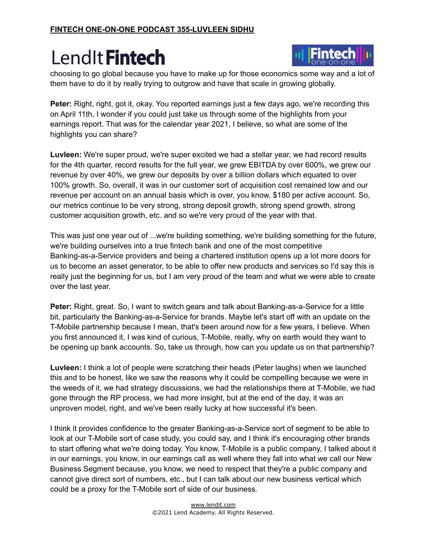

choosing to go global because you have to make up for those economics some way and a lot of them have to do it by really trying to outgrow and have that scale in growing globally.

**Peter:** Right, right, got it, okay. You reported earnings just a few days ago, we're recording this on April 11th, I wonder if you could just take us through some of the highlights from your earnings report. That was for the calendar year 2021, I believe, so what are some of the highlights you can share?

**Luvleen:** We're super proud, we're super excited we had a stellar year, we had record results for the 4th quarter, record results for the full year, we grew EBITDA by over 600%, we grew our revenue by over 40%, we grew our deposits by over a billion dollars which equated to over 100% growth. So, overall, it was in our customer sort of acquisition cost remained low and our revenue per account on an annual basis which is over, you know, \$180 per active account. So, our metrics continue to be very strong, strong deposit growth, strong spend growth, strong customer acquisition growth, etc. and so we're very proud of the year with that.

This was just one year out of ...we're building something, we're building something for the future, we're building ourselves into a true fintech bank and one of the most competitive Banking-as-a-Service providers and being a chartered institution opens up a lot more doors for us to become an asset generator, to be able to offer new products and services so I'd say this is really just the beginning for us, but I am very proud of the team and what we were able to create over the last year.

**Peter:** Right, great. So, I want to switch gears and talk about Banking-as-a-Service for a little bit, particularly the Banking-as-a-Service for brands. Maybe let's start off with an update on the T-Mobile partnership because I mean, that's been around now for a few years, I believe. When you first announced it, I was kind of curious, T-Mobile, really, why on earth would they want to be opening up bank accounts. So, take us through, how can you update us on that partnership?

**Luvleen:** I think a lot of people were scratching their heads (Peter laughs) when we launched this and to be honest, like we saw the reasons why it could be compelling because we were in the weeds of it, we had strategy discussions, we had the relationships there at T-Mobile, we had gone through the RP process, we had more insight, but at the end of the day, it was an unproven model, right, and we've been really lucky at how successful it's been.

I think it provides confidence to the greater Banking-as-a-Service sort of segment to be able to look at our T-Mobile sort of case study, you could say, and I think it's encouraging other brands to start offering what we're doing today. You know, T-Mobile is a public company, I talked about it in our earnings, you know, in our earnings call as well where they fall into what we call our New Business Segment because, you know, we need to respect that they're a public company and cannot give direct sort of numbers, etc., but I can talk about our new business vertical which could be a proxy for the T-Mobile sort of side of our business.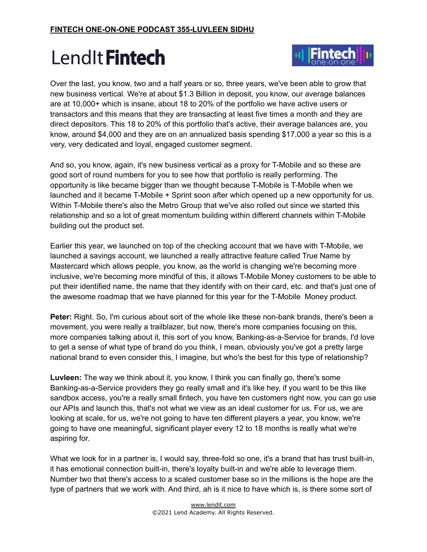

Over the last, you know, two and a half years or so, three years, we've been able to grow that new business vertical. We're at about \$1.3 Billion in deposit, you know, our average balances are at 10,000+ which is insane, about 18 to 20% of the portfolio we have active users or transactors and this means that they are transacting at least five times a month and they are direct depositors. This 18 to 20% of this portfolio that's active, their average balances are, you know, around \$4,000 and they are on an annualized basis spending \$17,000 a year so this is a very, very dedicated and loyal, engaged customer segment.

And so, you know, again, it's new business vertical as a proxy for T-Mobile and so these are good sort of round numbers for you to see how that portfolio is really performing. The opportunity is like became bigger than we thought because T-Mobile is T-Mobile when we launched and it became T-Mobile + Sprint soon after which opened up a new opportunity for us. Within T-Mobile there's also the Metro Group that we've also rolled out since we started this relationship and so a lot of great momentum building within different channels within T-Mobile building out the product set.

Earlier this year, we launched on top of the checking account that we have with T-Mobile, we launched a savings account, we launched a really attractive feature called True Name by Mastercard which allows people, you know, as the world is changing we're becoming more inclusive, we're becoming more mindful of this, it allows T-Mobile Money customers to be able to put their identified name, the name that they identify with on their card, etc. and that's just one of the awesome roadmap that we have planned for this year for the T-Mobile Money product.

**Peter:** Right. So, I'm curious about sort of the whole like these non-bank brands, there's been a movement, you were really a trailblazer, but now, there's more companies focusing on this, more companies talking about it, this sort of you know, Banking-as-a-Service for brands, I'd love to get a sense of what type of brand do you think, I mean, obviously you've got a pretty large national brand to even consider this, I imagine, but who's the best for this type of relationship?

**Luvleen:** The way we think about it, you know, I think you can finally go, there's some Banking-as-a-Service providers they go really small and it's like hey, if you want to be this like sandbox access, you're a really small fintech, you have ten customers right now, you can go use our APIs and launch this, that's not what we view as an ideal customer for us. For us, we are looking at scale, for us, we're not going to have ten different players a year, you know, we're going to have one meaningful, significant player every 12 to 18 months is really what we're aspiring for.

What we look for in a partner is, I would say, three-fold so one, it's a brand that has trust built-in, it has emotional connection built-in, there's loyalty built-in and we're able to leverage them. Number two that there's access to a scaled customer base so in the millions is the hope are the type of partners that we work with. And third, ah is it nice to have which is, is there some sort of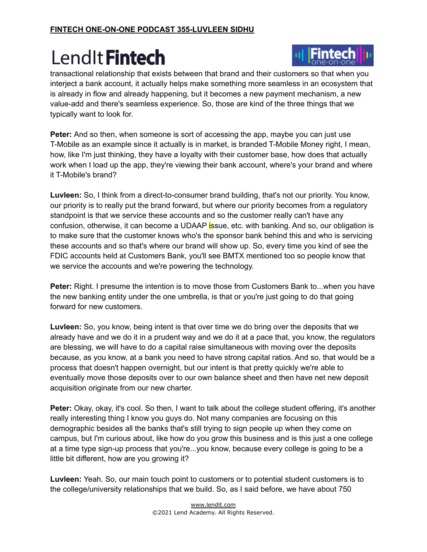

transactional relationship that exists between that brand and their customers so that when you interject a bank account, it actually helps make something more seamless in an ecosystem that is already in flow and already happening, but it becomes a new payment mechanism, a new value-add and there's seamless experience. So, those are kind of the three things that we typically want to look for.

**Peter:** And so then, when someone is sort of accessing the app, maybe you can just use T-Mobile as an example since it actually is in market, is branded T-Mobile Money right, I mean, how, like I'm just thinking, they have a loyalty with their customer base, how does that actually work when I load up the app, they're viewing their bank account, where's your brand and where it T-Mobile's brand?

**Luvleen:** So, I think from a direct-to-consumer brand building, that's not our priority. You know, our priority is to really put the brand forward, but where our priority becomes from a regulatory standpoint is that we service these accounts and so the customer really can't have any confusion, otherwise, it can become a UDAAP issue, etc. with banking. And so, our obligation is to make sure that the customer knows who's the sponsor bank behind this and who is servicing these accounts and so that's where our brand will show up. So, every time you kind of see the FDIC accounts held at Customers Bank, you'll see BMTX mentioned too so people know that we service the accounts and we're powering the technology.

**Peter:** Right. I presume the intention is to move those from Customers Bank to...when you have the new banking entity under the one umbrella, is that or you're just going to do that going forward for new customers.

**Luvleen:** So, you know, being intent is that over time we do bring over the deposits that we already have and we do it in a prudent way and we do it at a pace that, you know, the regulators are blessing, we will have to do a capital raise simultaneous with moving over the deposits because, as you know, at a bank you need to have strong capital ratios. And so, that would be a process that doesn't happen overnight, but our intent is that pretty quickly we're able to eventually move those deposits over to our own balance sheet and then have net new deposit acquisition originate from our new charter.

**Peter:** Okay, okay, it's cool. So then, I want to talk about the college student offering, it's another really interesting thing I know you guys do. Not many companies are focusing on this demographic besides all the banks that's still trying to sign people up when they come on campus, but I'm curious about, like how do you grow this business and is this just a one college at a time type sign-up process that you're...you know, because every college is going to be a little bit different, how are you growing it?

**Luvleen:** Yeah. So, our main touch point to customers or to potential student customers is to the college/university relationships that we build. So, as I said before, we have about 750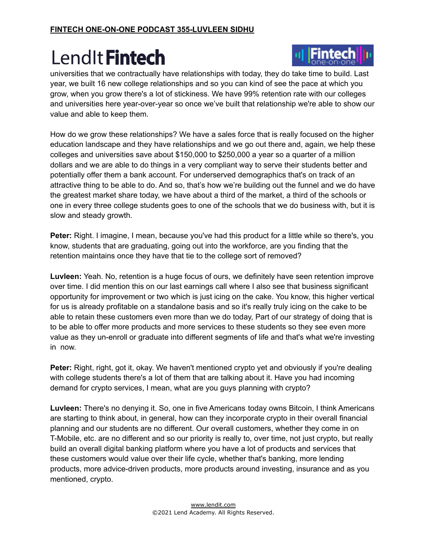

universities that we contractually have relationships with today, they do take time to build. Last year, we built 16 new college relationships and so you can kind of see the pace at which you grow, when you grow there's a lot of stickiness. We have 99% retention rate with our colleges and universities here year-over-year so once we've built that relationship we're able to show our value and able to keep them.

How do we grow these relationships? We have a sales force that is really focused on the higher education landscape and they have relationships and we go out there and, again, we help these colleges and universities save about \$150,000 to \$250,000 a year so a quarter of a million dollars and we are able to do things in a very compliant way to serve their students better and potentially offer them a bank account. For underserved demographics that's on track of an attractive thing to be able to do. And so, that's how we're building out the funnel and we do have the greatest market share today, we have about a third of the market, a third of the schools or one in every three college students goes to one of the schools that we do business with, but it is slow and steady growth.

**Peter:** Right. I imagine, I mean, because you've had this product for a little while so there's, you know, students that are graduating, going out into the workforce, are you finding that the retention maintains once they have that tie to the college sort of removed?

**Luvleen:** Yeah. No, retention is a huge focus of ours, we definitely have seen retention improve over time. I did mention this on our last earnings call where I also see that business significant opportunity for improvement or two which is just icing on the cake. You know, this higher vertical for us is already profitable on a standalone basis and so it's really truly icing on the cake to be able to retain these customers even more than we do today, Part of our strategy of doing that is to be able to offer more products and more services to these students so they see even more value as they un-enroll or graduate into different segments of life and that's what we're investing in now.

**Peter:** Right, right, got it, okay. We haven't mentioned crypto yet and obviously if you're dealing with college students there's a lot of them that are talking about it. Have you had incoming demand for crypto services, I mean, what are you guys planning with crypto?

**Luvleen:** There's no denying it. So, one in five Americans today owns Bitcoin, I think Americans are starting to think about, in general, how can they incorporate crypto in their overall financial planning and our students are no different. Our overall customers, whether they come in on T-Mobile, etc. are no different and so our priority is really to, over time, not just crypto, but really build an overall digital banking platform where you have a lot of products and services that these customers would value over their life cycle, whether that's banking, more lending products, more advice-driven products, more products around investing, insurance and as you mentioned, crypto.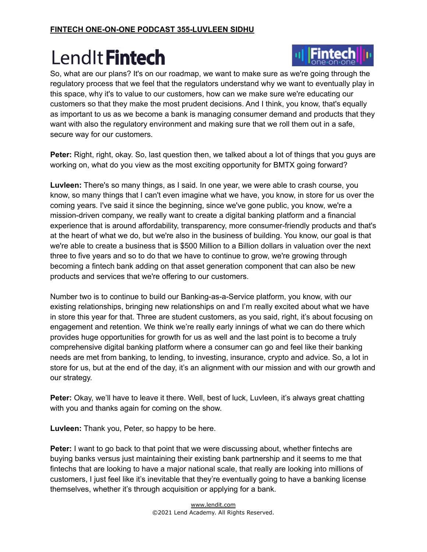

So, what are our plans? It's on our roadmap, we want to make sure as we're going through the regulatory process that we feel that the regulators understand why we want to eventually play in this space, why it's to value to our customers, how can we make sure we're educating our customers so that they make the most prudent decisions. And I think, you know, that's equally as important to us as we become a bank is managing consumer demand and products that they want with also the regulatory environment and making sure that we roll them out in a safe, secure way for our customers.

**Peter:** Right, right, okay. So, last question then, we talked about a lot of things that you guys are working on, what do you view as the most exciting opportunity for BMTX going forward?

**Luvleen:** There's so many things, as I said. In one year, we were able to crash course, you know, so many things that I can't even imagine what we have, you know, in store for us over the coming years. I've said it since the beginning, since we've gone public, you know, we're a mission-driven company, we really want to create a digital banking platform and a financial experience that is around affordability, transparency, more consumer-friendly products and that's at the heart of what we do, but we're also in the business of building. You know, our goal is that we're able to create a business that is \$500 Million to a Billion dollars in valuation over the next three to five years and so to do that we have to continue to grow, we're growing through becoming a fintech bank adding on that asset generation component that can also be new products and services that we're offering to our customers.

Number two is to continue to build our Banking-as-a-Service platform, you know, with our existing relationships, bringing new relationships on and I'm really excited about what we have in store this year for that. Three are student customers, as you said, right, it's about focusing on engagement and retention. We think we're really early innings of what we can do there which provides huge opportunities for growth for us as well and the last point is to become a truly comprehensive digital banking platform where a consumer can go and feel like their banking needs are met from banking, to lending, to investing, insurance, crypto and advice. So, a lot in store for us, but at the end of the day, it's an alignment with our mission and with our growth and our strategy.

**Peter:** Okay, we'll have to leave it there. Well, best of luck, Luvleen, it's always great chatting with you and thanks again for coming on the show.

**Luvleen:** Thank you, Peter, so happy to be here.

**Peter:** I want to go back to that point that we were discussing about, whether fintechs are buying banks versus just maintaining their existing bank partnership and it seems to me that fintechs that are looking to have a major national scale, that really are looking into millions of customers, I just feel like it's inevitable that they're eventually going to have a banking license themselves, whether it's through acquisition or applying for a bank.